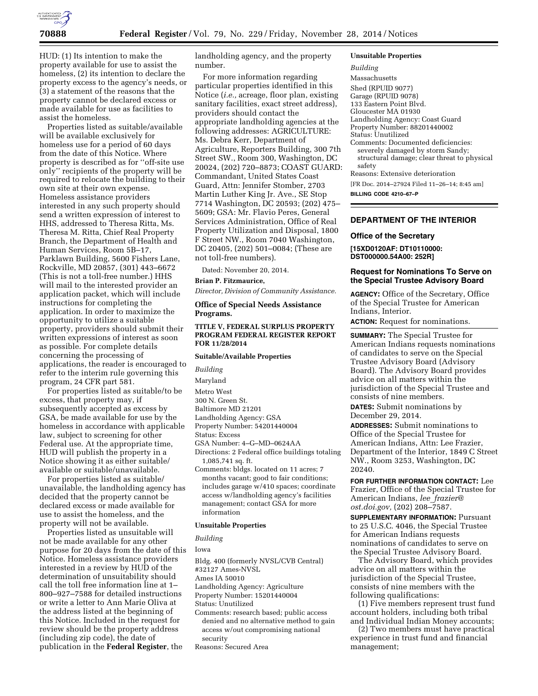

HUD: (1) Its intention to make the property available for use to assist the homeless, (2) its intention to declare the property excess to the agency's needs, or (3) a statement of the reasons that the property cannot be declared excess or made available for use as facilities to assist the homeless.

Properties listed as suitable/available will be available exclusively for homeless use for a period of 60 days from the date of this Notice. Where property is described as for ''off-site use only'' recipients of the property will be required to relocate the building to their own site at their own expense. Homeless assistance providers interested in any such property should send a written expression of interest to HHS, addressed to Theresa Ritta, Ms. Theresa M. Ritta, Chief Real Property Branch, the Department of Health and Human Services, Room 5B–17, Parklawn Building, 5600 Fishers Lane, Rockville, MD 20857, (301) 443–6672 (This is not a toll-free number.) HHS will mail to the interested provider an application packet, which will include instructions for completing the application. In order to maximize the opportunity to utilize a suitable property, providers should submit their written expressions of interest as soon as possible. For complete details concerning the processing of applications, the reader is encouraged to refer to the interim rule governing this program, 24 CFR part 581.

For properties listed as suitable/to be excess, that property may, if subsequently accepted as excess by GSA, be made available for use by the homeless in accordance with applicable law, subject to screening for other Federal use. At the appropriate time, HUD will publish the property in a Notice showing it as either suitable/ available or suitable/unavailable.

For properties listed as suitable/ unavailable, the landholding agency has decided that the property cannot be declared excess or made available for use to assist the homeless, and the property will not be available.

Properties listed as unsuitable will not be made available for any other purpose for 20 days from the date of this Notice. Homeless assistance providers interested in a review by HUD of the determination of unsuitability should call the toll free information line at 1– 800–927–7588 for detailed instructions or write a letter to Ann Marie Oliva at the address listed at the beginning of this Notice. Included in the request for review should be the property address (including zip code), the date of publication in the **Federal Register**, the

landholding agency, and the property number.

For more information regarding particular properties identified in this Notice (*i.e.,* acreage, floor plan, existing sanitary facilities, exact street address), providers should contact the appropriate landholding agencies at the following addresses: AGRICULTURE: Ms. Debra Kerr, Department of Agriculture, Reporters Building, 300 7th Street SW., Room 300, Washington, DC 20024, (202) 720–8873; COAST GUARD: Commandant, United States Coast Guard, Attn: Jennifer Stomber, 2703 Martin Luther King Jr. Ave., SE Stop 7714 Washington, DC 20593; (202) 475– 5609; GSA: Mr. Flavio Peres, General Services Administration, Office of Real Property Utilization and Disposal, 1800 F Street NW., Room 7040 Washington, DC 20405, (202) 501–0084; (These are not toll-free numbers).

Dated: November 20, 2014.

# **Brian P. Fitzmaurice,**

*Director, Division of Community Assistance.* 

# **Office of Special Needs Assistance Programs.**

# **TITLE V, FEDERAL SURPLUS PROPERTY PROGRAM FEDERAL REGISTER REPORT FOR 11/28/2014**

# **Suitable/Available Properties**

*Building* 

Maryland

- Metro West
- 300 N. Green St.

Baltimore MD 21201

- Landholding Agency: GSA
- Property Number: 54201440004

Status: Excess

- GSA Number: 4–G–MD–0624AA
- Directions: 2 Federal office buildings totaling 1,085,741 sq. ft.
- Comments: bldgs. located on 11 acres; 7 months vacant; good to fair conditions; includes garage w/410 spaces; coordinate access w/landholding agency's facilities management; contact GSA for more information

### **Unsuitable Properties**

#### *Building*

Iowa

- Bldg. 400 (formerly NVSL/CVB Central)
- #32127 Ames-NVSL
- Ames IA 50010 Landholding Agency: Agriculture
- Property Number: 15201440004
- Status: Unutilized
- Comments: research based; public access denied and no alternative method to gain access w/out compromising national security
- Reasons: Secured Area

#### **Unsuitable Properties**

*Building* 

Massachusetts Shed (RPUID 9077) Garage (RPUID 9078) 133 Eastern Point Blvd. Gloucester MA 01930 Landholding Agency: Coast Guard Property Number: 88201440002 Status: Unutilized Comments: Documented deficiencies: severely damaged by storm Sandy; structural damage; clear threat to physical safety

Reasons: Extensive deterioration

[FR Doc. 2014–27924 Filed 11–26–14; 8:45 am] **BILLING CODE 4210–67–P** 

### **DEPARTMENT OF THE INTERIOR**

### **Office of the Secretary**

**[15XD0120AF: DT10110000: DST000000.54A00: 252R]** 

# **Request for Nominations To Serve on the Special Trustee Advisory Board**

**AGENCY:** Office of the Secretary, Office of the Special Trustee for American Indians, Interior. **ACTION:** Request for nominations.

**SUMMARY:** The Special Trustee for American Indians requests nominations of candidates to serve on the Special Trustee Advisory Board (Advisory Board). The Advisory Board provides advice on all matters within the jurisdiction of the Special Trustee and consists of nine members. **DATES:** Submit nominations by

December 29, 2014. **ADDRESSES:** Submit nominations to

Office of the Special Trustee for American Indians, Attn: Lee Frazier, Department of the Interior, 1849 C Street NW., Room 3253, Washington, DC 20240.

**FOR FURTHER INFORMATION CONTACT:** Lee Frazier, Office of the Special Trustee for American Indians, *lee*\_*[frazier@](mailto:lee_frazier@ost.doi.gov) [ost.doi.gov,](mailto:lee_frazier@ost.doi.gov)* (202) 208–7587.

**SUPPLEMENTARY INFORMATION:** Pursuant to 25 U.S.C. 4046, the Special Trustee for American Indians requests nominations of candidates to serve on the Special Trustee Advisory Board.

The Advisory Board, which provides advice on all matters within the jurisdiction of the Special Trustee, consists of nine members with the following qualifications:

(1) Five members represent trust fund account holders, including both tribal and Individual Indian Money accounts;

(2) Two members must have practical experience in trust fund and financial management;